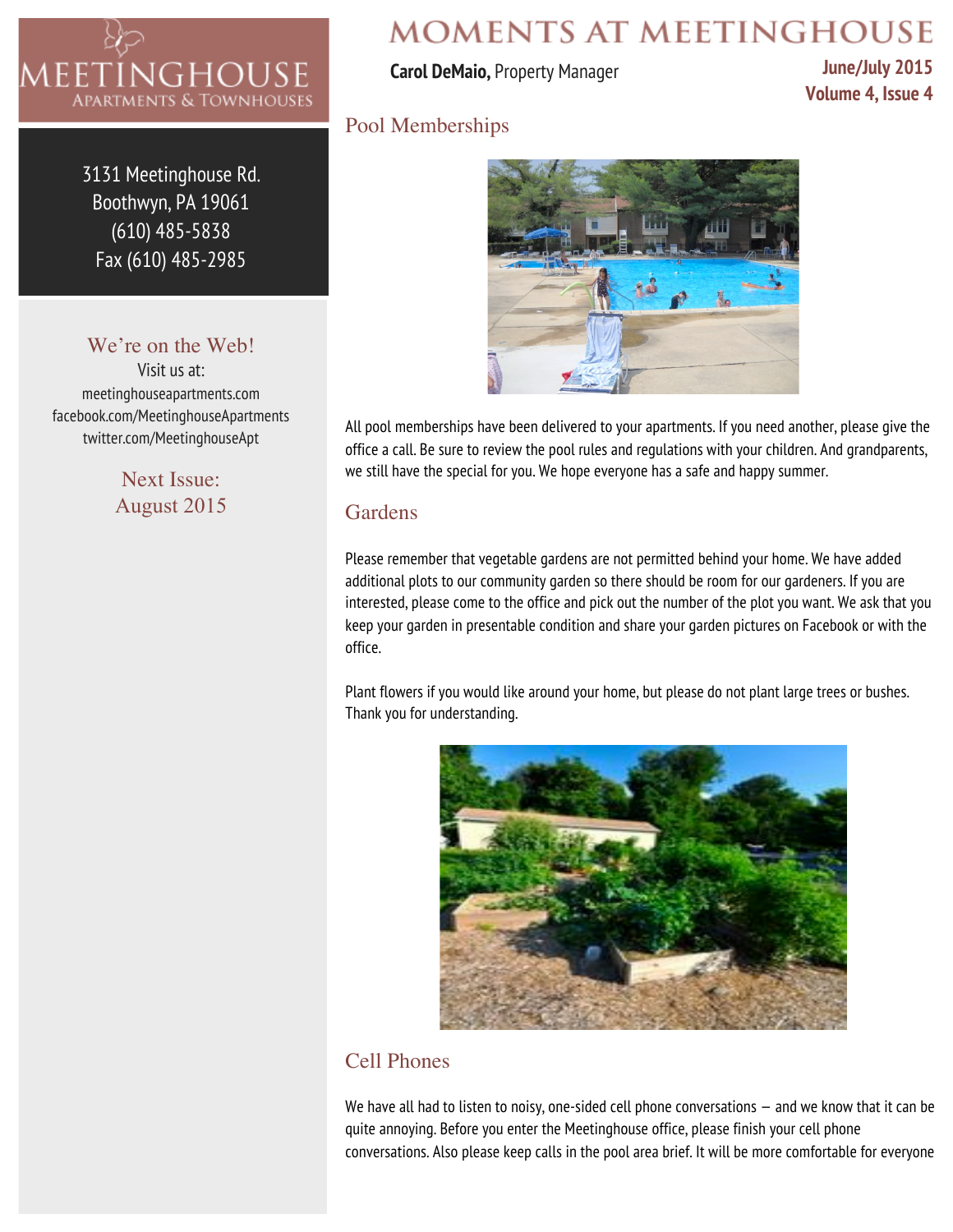

3131 Meetinghouse Rd. Boothwyn, PA 19061 (610) 485-5838 Fax (610) 485-2985

### We're on the Web!

Visit us at: meetinghouseapartments.com facebook.com/MeetinghouseApartments twitter.com/MeetinghouseApt

> Next Issue: August 2015

# **MOMENTS AT MEETINGHOUSE**

#### **Carol DeMaio,** Property Manager

**June/July 2015 Volume 4, Issue 4**

### Pool Memberships



All pool memberships have been delivered to your apartments. If you need another, please give the office a call. Be sure to review the pool rules and regulations with your children. And grandparents, we still have the special for you. We hope everyone has a safe and happy summer.

### Gardens

Please remember that vegetable gardens are not permitted behind your home. We have added additional plots to our community garden so there should be room for our gardeners. If you are interested, please come to the office and pick out the number of the plot you want. We ask that you keep your garden in presentable condition and share your garden pictures on Facebook or with the office.

Plant flowers if you would like around your home, but please do not plant large trees or bushes. Thank you for understanding.



# Cell Phones

We have all had to listen to noisy, one-sided cell phone conversations — and we know that it can be quite annoying. Before you enter the Meetinghouse office, please finish your cell phone conversations. Also please keep calls in the pool area brief. It will be more comfortable for everyone.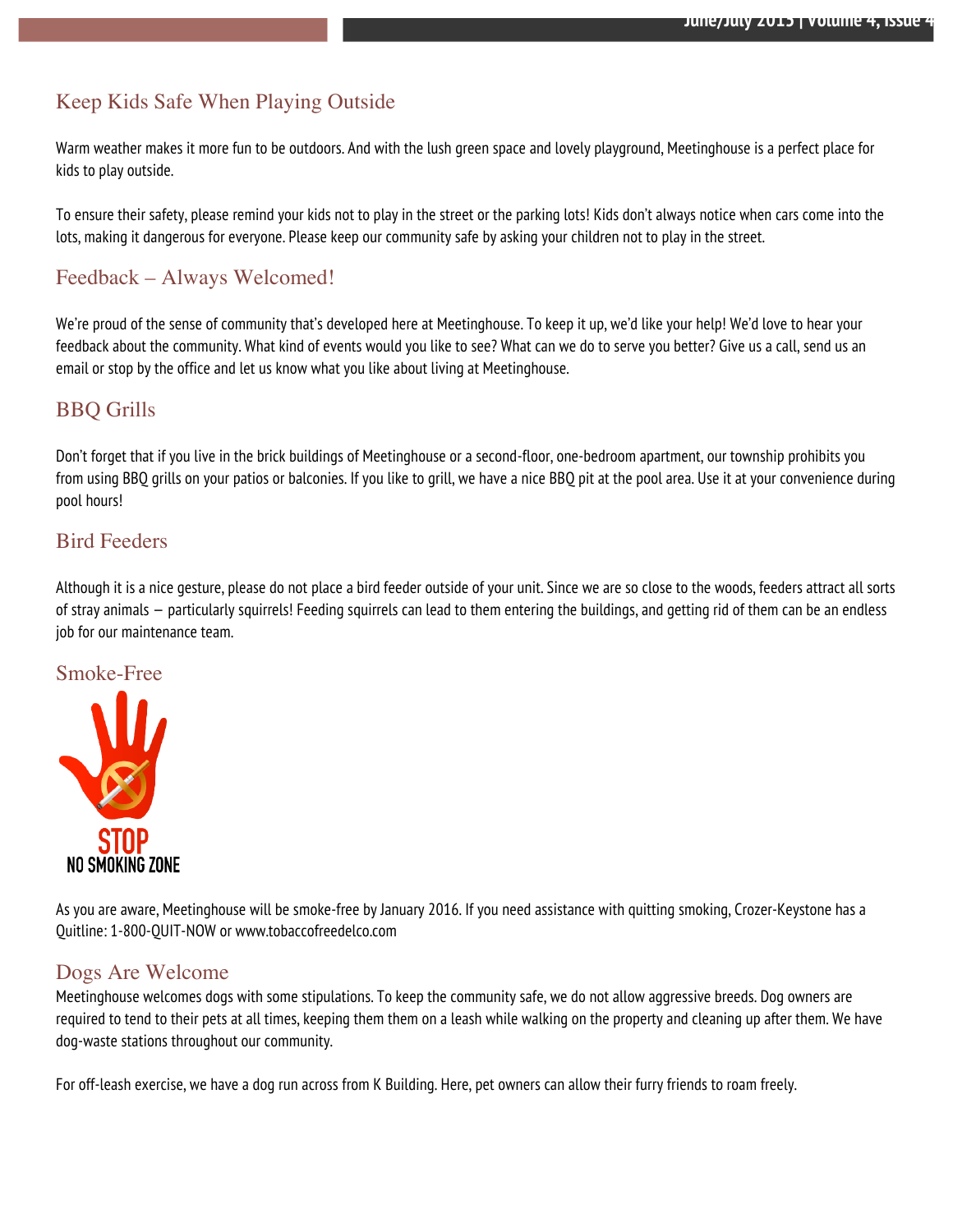# Keep Kids Safe When Playing Outside

Warm weather makes it more fun to be outdoors. And with the lush green space and lovely playground, Meetinghouse is a perfect place for kids to play outside.

To ensure their safety, please remind your kids not to play in the street or the parking lots! Kids don't always notice when cars come into the lots, making it dangerous for everyone. Please keep our community safe by asking your children not to play in the street.

## Feedback – Always Welcomed!

We're proud of the sense of community that's developed here at Meetinghouse. To keep it up, we'd like your help! We'd love to hear your feedback about the community. What kind of events would you like to see? What can we do to serve you better? Give us a call, send us an email or stop by the office and let us know what you like about living at Meetinghouse.

#### BBQ Grills

Don't forget that if you live in the brick buildings of Meetinghouse or a second-floor, one-bedroom apartment, our township prohibits you from using BBQ grills on your patios or balconies. If you like to grill, we have a nice BBQ pit at the pool area. Use it at your convenience during pool hours!

#### Bird Feeders

Although it is a nice gesture, please do not place a bird feeder outside of your unit. Since we are so close to the woods, feeders attract all sorts of stray animals — particularly squirrels! Feeding squirrels can lead to them entering the buildings, and getting rid of them can be an endless job for our maintenance team.

#### Smoke-Free



As you are aware, Meetinghouse will be smoke-free by January 2016. If you need assistance with quitting smoking, Crozer-Keystone has a Quitline: 1-800-QUIT-NOW or www.tobaccofreedelco.com

#### Dogs Are Welcome

Meetinghouse welcomes dogs with some stipulations. To keep the community safe, we do not allow aggressive breeds. Dog owners are required to tend to their pets at all times, keeping them them on a leash while walking on the property and cleaning up after them. We have dog-waste stations throughout our community.

For off-leash exercise, we have a dog run across from K Building. Here, pet owners can allow their furry friends to roam freely.